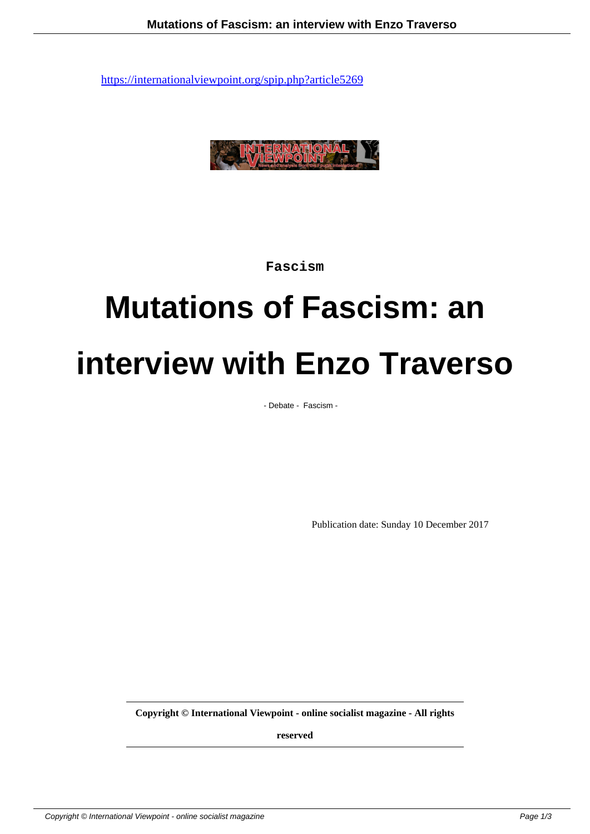

**Fascism**

# **Mutations of Fascism: an interview with Enzo Traverso**

- Debate - Fascism -

Publication date: Sunday 10 December 2017

**Copyright © International Viewpoint - online socialist magazine - All rights**

**reserved**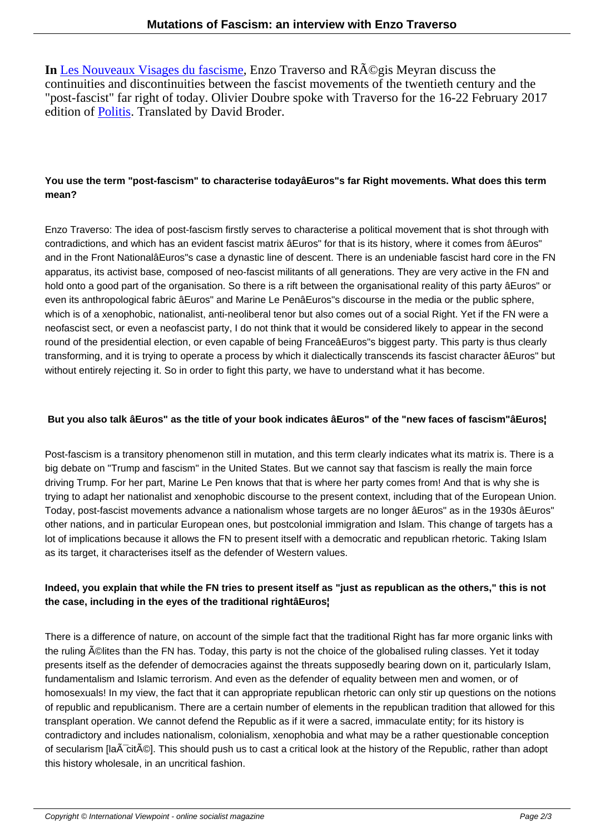**In** Les Nouveaux Visages du fascisme, Enzo Traverso and R $\tilde{A}$ ©gis Meyran discuss the continuities and discontinuities between the fascist movements of the twentieth century and the "post-fascist" far right of today. Olivier Doubre spoke with Traverso for the 16-22 February 2017 edition of **Politis**. Translated by David Broder.

# **You use the term "post-fascism" to characterise todayâEuros"s far Right movements. What does this term mean?**

Enzo Traverso: The idea of post-fascism firstly serves to characterise a political movement that is shot through with contradictions, and which has an evident fascist matrix âEuros" for that is its history, where it comes from âEuros" and in the Front NationalâEuros"s case a dynastic line of descent. There is an undeniable fascist hard core in the FN apparatus, its activist base, composed of neo-fascist militants of all generations. They are very active in the FN and hold onto a good part of the organisation. So there is a rift between the organisational reality of this party âEuros" or even its anthropological fabric âEuros" and Marine Le PenâEuros"s discourse in the media or the public sphere, which is of a xenophobic, nationalist, anti-neoliberal tenor but also comes out of a social Right. Yet if the FN were a neofascist sect, or even a neofascist party, I do not think that it would be considered likely to appear in the second round of the presidential election, or even capable of being FranceâEuros"s biggest party. This party is thus clearly transforming, and it is trying to operate a process by which it dialectically transcends its fascist character âEuros" but without entirely rejecting it. So in order to fight this party, we have to understand what it has become.

#### **But you also talk âEuros" as the title of your book indicates âEuros" of the "new faces of fascism"âEuros¦**

Post-fascism is a transitory phenomenon still in mutation, and this term clearly indicates what its matrix is. There is a big debate on "Trump and fascism" in the United States. But we cannot say that fascism is really the main force driving Trump. For her part, Marine Le Pen knows that that is where her party comes from! And that is why she is trying to adapt her nationalist and xenophobic discourse to the present context, including that of the European Union. Today, post-fascist movements advance a nationalism whose targets are no longer âEuros" as in the 1930s âEuros" other nations, and in particular European ones, but postcolonial immigration and Islam. This change of targets has a lot of implications because it allows the FN to present itself with a democratic and republican rhetoric. Taking Islam as its target, it characterises itself as the defender of Western values.

### **Indeed, you explain that while the FN tries to present itself as "just as republican as the others," this is not the case, including in the eyes of the traditional rightâEuros¦**

There is a difference of nature, on account of the simple fact that the traditional Right has far more organic links with the ruling A©lites than the FN has. Today, this party is not the choice of the globalised ruling classes. Yet it today presents itself as the defender of democracies against the threats supposedly bearing down on it, particularly Islam, fundamentalism and Islamic terrorism. And even as the defender of equality between men and women, or of homosexuals! In my view, the fact that it can appropriate republican rhetoric can only stir up questions on the notions of republic and republicanism. There are a certain number of elements in the republican tradition that allowed for this transplant operation. We cannot defend the Republic as if it were a sacred, immaculate entity; for its history is contradictory and includes nationalism, colonialism, xenophobia and what may be a rather questionable conception of secularism [la $\tilde{A}$  cit $\tilde{A}$ ©]. This should push us to cast a critical look at the history of the Republic, rather than adopt this history wholesale, in an uncritical fashion.